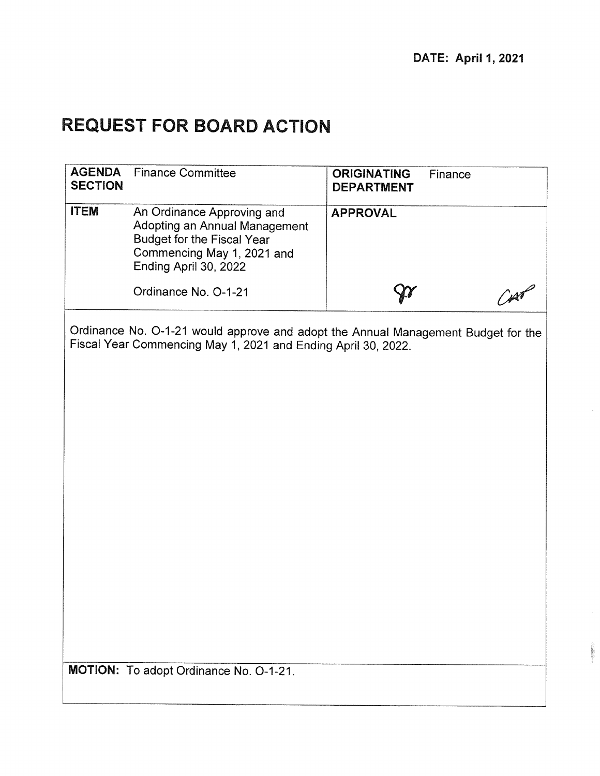# **REQUEST FOR BOARD ACTION**

| <b>AGENDA</b><br><b>SECTION</b> | <b>Finance Committee</b>                                                                                                                           | <b>ORIGINATING</b><br>Finance<br><b>DEPARTMENT</b> |  |
|---------------------------------|----------------------------------------------------------------------------------------------------------------------------------------------------|----------------------------------------------------|--|
| <b>ITEM</b>                     | An Ordinance Approving and<br>Adopting an Annual Management<br>Budget for the Fiscal Year<br>Commencing May 1, 2021 and<br>Ending April 30, 2022   | <b>APPROVAL</b>                                    |  |
|                                 | Ordinance No. O-1-21                                                                                                                               |                                                    |  |
|                                 | Ordinance No. O-1-21 would approve and adopt the Annual Management Budget for the<br>Fiscal Year Commencing May 1, 2021 and Ending April 30, 2022. |                                                    |  |
|                                 | MOTION: To adopt Ordinance No. O-1-21.                                                                                                             |                                                    |  |
|                                 |                                                                                                                                                    |                                                    |  |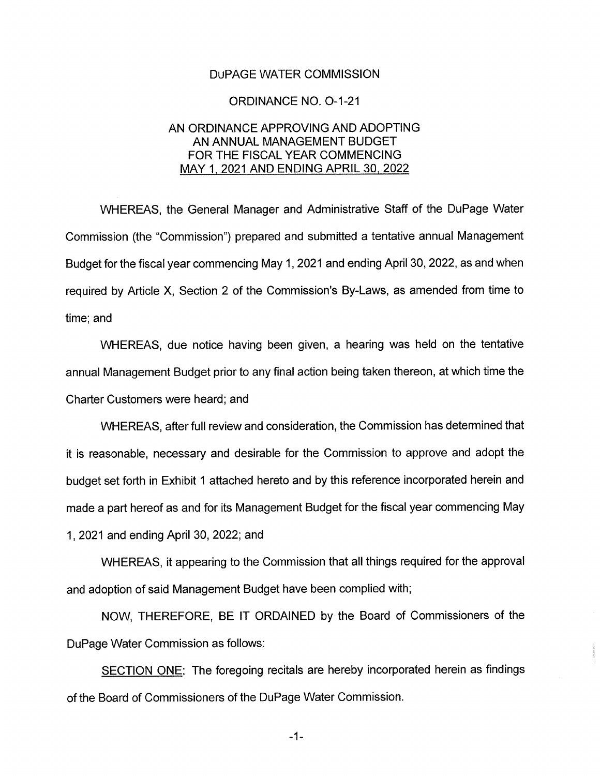#### DuPAGE WATER COMMISSION

#### ORDINANCE NO. 0-1-21

#### AN ORDINANCE APPROVING AND ADOPTING AN ANNUAL MANAGEMENT BUDGET FOR THE FISCAL YEAR COMMENCING MAY 1, 2021 AND ENDING APRIL 30, 2022

WHEREAS, the General Manager and Administrative Staff of the DuPage Water Commission (the "Commission") prepared and submitted a tentative annual Management Budget for the fiscal year commencing May 1, 2021 and ending April 30, 2022, as and when required by Article X, Section 2 of the Commission's By-Laws, as amended from time to time; and

WHEREAS, due notice having been given, a hearing was held on the tentative annual Management Budget prior to any final action being taken thereon, at which time the Charter Customers were heard; and

WHEREAS, after full review and consideration, the Commission has determined that it is reasonable, necessary and desirable for the Commission to approve and adopt the budget set forth in Exhibit 1 attached hereto and by this reference incorporated herein and made a part hereof as and for its Management Budget for the fiscal year commencing May 1, 2021 and ending April 30, 2022; and

WHEREAS, it appearing to the Commission that all things required for the approval and adoption of said Management Budget have been complied with;

NOW, THEREFORE, BE IT ORDAINED by the Board of Commissioners of the DuPage Water Commission as follows:

SECTION ONE: The foregoing recitals are hereby incorporated herein as findings of the Board of Commissioners of the DuPage Water Commission.

 $-1-$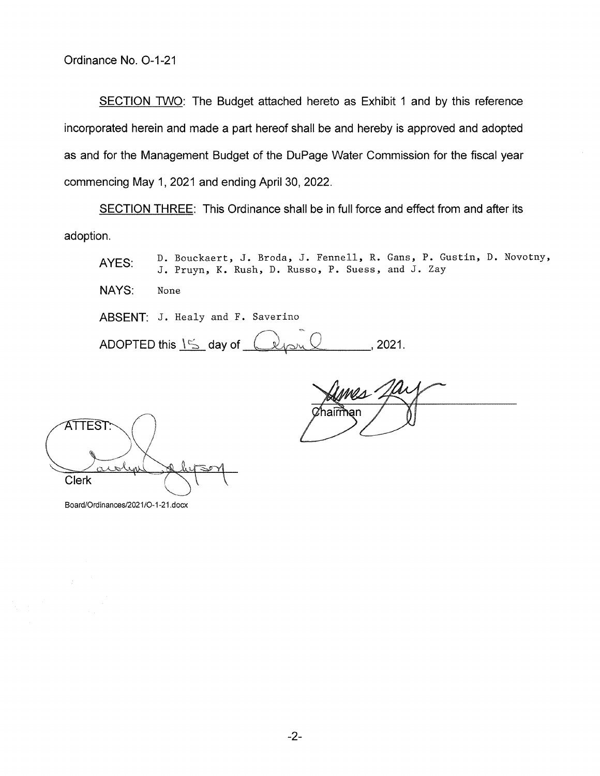SECTION TWO: The Budget attached hereto as Exhibit 1 and by this reference incorporated herein and made a part hereof shall be and hereby is approved and adopted as and for the Management Budget of the DuPage Water Commission for the fiscal year commencing May 1, 2021 and ending April 30, 2022.

SECTION THREE: This Ordinance shall be in full force and effect from and after its adoption.

AYES: D. Bouckaert, J. Broda, J. Fennell, R. Gans, P. Gustin, D. Novotny, J. Pruyn, K. Rush, D. Russo, P. Suess, and J. Zay

NAYS: None

ABSENT: J. Healy and F. Saverino

ADOPTED this  $15$  day of  $\&$  over  $\&$  , 2021.

 $\frac{1}{\text{a} \cdot \text{b} \cdot \text{c}}$ 

ATTEST Clerk

Board/Ordinances/2021/O-1-21 .docx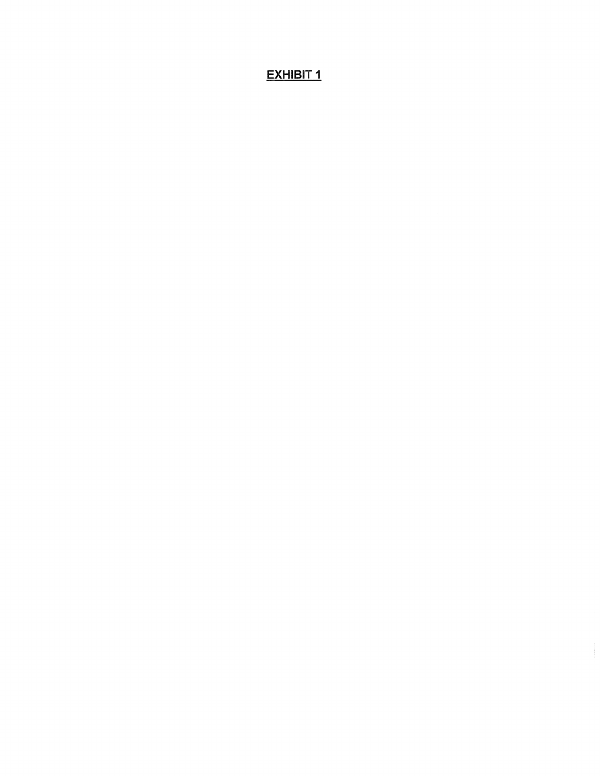## **EXHIBIT 1**

 $\label{eq:1} \begin{split} \mathcal{L}_{\text{in}}(\mathcal{L}_{\text{in}}(\mathcal{L}_{\text{out}}),\mathcal{L}_{\text{out}}(\mathcal{L}_{\text{out}}),\mathcal{L}_{\text{out}}(\mathcal{L}_{\text{out}}),\mathcal{L}_{\text{out}}(\mathcal{L}_{\text{out}}),\mathcal{L}_{\text{out}}(\mathcal{L}_{\text{out}}),\mathcal{L}_{\text{out}}(\mathcal{L}_{\text{out}}),\mathcal{L}_{\text{out}}(\mathcal{L}_{\text{out}}),\mathcal{L}_{\text{out}}(\mathcal{L}_{\text{out}}),\mathcal{L}_{\text{out}}(\math$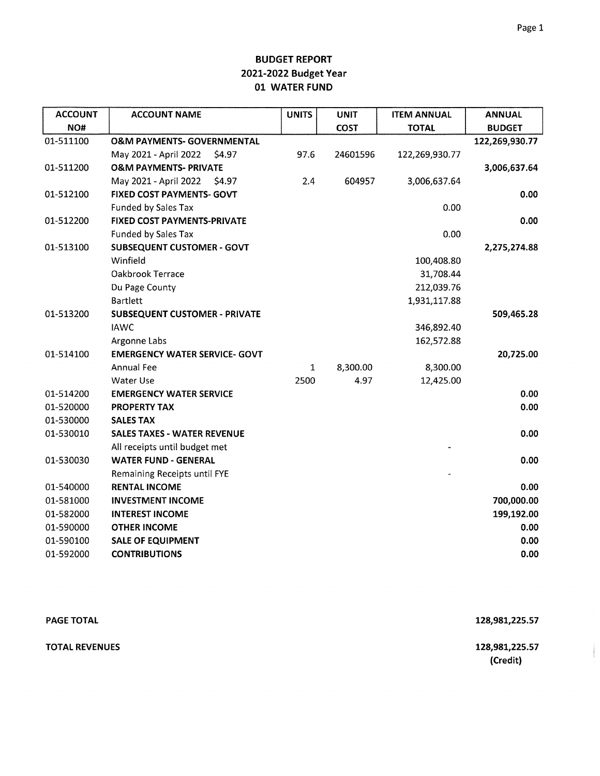| <b>ACCOUNT</b> | <b>ACCOUNT NAME</b>                   | <b>UNITS</b> | <b>UNIT</b> | <b>ITEM ANNUAL</b> | <b>ANNUAL</b>  |
|----------------|---------------------------------------|--------------|-------------|--------------------|----------------|
| NO#            |                                       |              | <b>COST</b> | <b>TOTAL</b>       | <b>BUDGET</b>  |
| 01-511100      | <b>O&amp;M PAYMENTS- GOVERNMENTAL</b> |              |             |                    | 122,269,930.77 |
|                | May 2021 - April 2022<br>\$4.97       | 97.6         | 24601596    | 122,269,930.77     |                |
| 01-511200      | <b>O&amp;M PAYMENTS- PRIVATE</b>      |              |             |                    | 3,006,637.64   |
|                | May 2021 - April 2022<br>\$4.97       | 2.4          | 604957      | 3,006,637.64       |                |
| 01-512100      | FIXED COST PAYMENTS- GOVT             |              |             |                    | 0.00           |
|                | <b>Funded by Sales Tax</b>            |              |             | 0.00               |                |
| 01-512200      | <b>FIXED COST PAYMENTS-PRIVATE</b>    |              |             |                    | 0.00           |
|                | <b>Funded by Sales Tax</b>            |              |             | 0.00               |                |
| 01-513100      | <b>SUBSEQUENT CUSTOMER - GOVT</b>     |              |             |                    | 2,275,274.88   |
|                | Winfield                              |              |             | 100,408.80         |                |
|                | Oakbrook Terrace                      |              |             | 31,708.44          |                |
|                | Du Page County                        |              |             | 212,039.76         |                |
|                | <b>Bartlett</b>                       |              |             | 1,931,117.88       |                |
| 01-513200      | <b>SUBSEQUENT CUSTOMER - PRIVATE</b>  |              |             |                    | 509,465.28     |
|                | <b>IAWC</b>                           |              |             | 346,892.40         |                |
|                | Argonne Labs                          |              |             | 162,572.88         |                |
| 01-514100      | <b>EMERGENCY WATER SERVICE- GOVT</b>  |              |             |                    | 20,725.00      |
|                | <b>Annual Fee</b>                     | 1            | 8,300.00    | 8,300.00           |                |
|                | <b>Water Use</b>                      | 2500         | 4.97        | 12,425.00          |                |
| 01-514200      | <b>EMERGENCY WATER SERVICE</b>        |              |             |                    | 0.00           |
| 01-520000      | <b>PROPERTY TAX</b>                   |              |             |                    | 0.00           |
| 01-530000      | <b>SALES TAX</b>                      |              |             |                    |                |
| 01-530010      | <b>SALES TAXES - WATER REVENUE</b>    |              |             |                    | 0.00           |
|                | All receipts until budget met         |              |             |                    |                |
| 01-530030      | <b>WATER FUND - GENERAL</b>           |              |             |                    | 0.00           |
|                | Remaining Receipts until FYE          |              |             |                    |                |
| 01-540000      | <b>RENTAL INCOME</b>                  |              |             |                    | 0.00           |
| 01-581000      | <b>INVESTMENT INCOME</b>              |              |             |                    | 700,000.00     |
| 01-582000      | <b>INTEREST INCOME</b>                |              |             |                    | 199,192.00     |
| 01-590000      | <b>OTHER INCOME</b>                   |              |             |                    | 0.00           |
| 01-590100      | <b>SALE OF EQUIPMENT</b>              |              |             |                    | 0.00           |
| 01-592000      | <b>CONTRIBUTIONS</b>                  |              |             |                    | 0.00           |

| <b>PAGE TOTAL</b>     | 128,981,225.57             |
|-----------------------|----------------------------|
| <b>TOTAL REVENUES</b> | 128,981,225.57<br>(Credit) |

 $\label{eq:1} \begin{aligned} \mathcal{L}_{\mathcal{D}}(\mathcal{L}_{\mathcal{D}}(\mathcal{L}_{\mathcal{D}})) = \mathcal{L}_{\mathcal{D}}(\mathcal{L}_{\mathcal{D}}) \end{aligned}$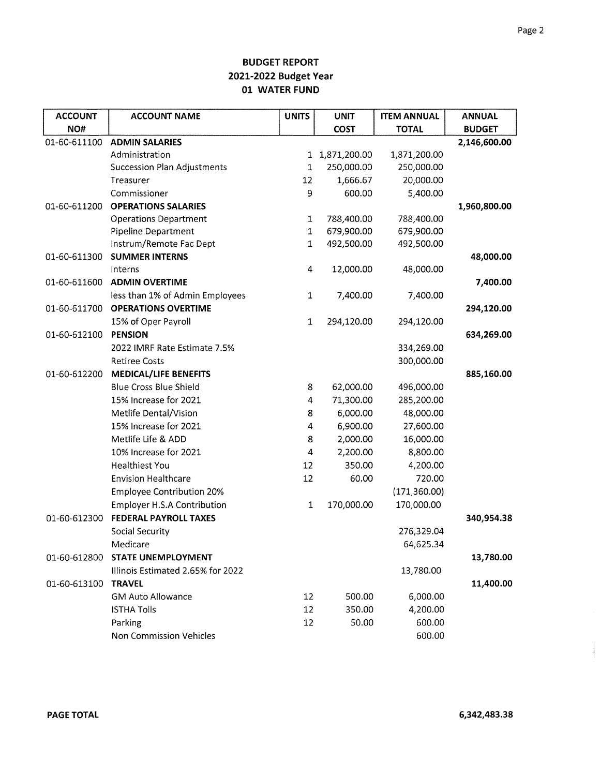| <b>ACCOUNT</b> | <b>ACCOUNT NAME</b>                | <b>UNITS</b> | <b>UNIT</b>    | <b>ITEM ANNUAL</b> | <b>ANNUAL</b> |
|----------------|------------------------------------|--------------|----------------|--------------------|---------------|
| NO#            |                                    |              | COST           | <b>TOTAL</b>       | <b>BUDGET</b> |
| 01-60-611100   | <b>ADMIN SALARIES</b>              |              |                |                    | 2,146,600.00  |
|                | Administration                     |              | 1 1,871,200.00 | 1,871,200.00       |               |
|                | <b>Succession Plan Adjustments</b> | 1            | 250,000.00     | 250,000.00         |               |
|                | Treasurer                          | 12           | 1,666.67       | 20,000.00          |               |
|                | Commissioner                       | 9            | 600.00         | 5,400.00           |               |
| 01-60-611200   | <b>OPERATIONS SALARIES</b>         |              |                |                    | 1,960,800.00  |
|                | <b>Operations Department</b>       | $\mathbf{1}$ | 788,400.00     | 788,400.00         |               |
|                | <b>Pipeline Department</b>         | $\mathbf 1$  | 679,900.00     | 679,900.00         |               |
|                | Instrum/Remote Fac Dept            | $\mathbf{1}$ | 492,500.00     | 492,500.00         |               |
| 01-60-611300   | <b>SUMMER INTERNS</b>              |              |                |                    | 48,000.00     |
|                | Interns                            | 4            | 12,000.00      | 48,000.00          |               |
| 01-60-611600   | <b>ADMIN OVERTIME</b>              |              |                |                    | 7,400.00      |
|                | less than 1% of Admin Employees    | $\mathbf{1}$ | 7,400.00       | 7,400.00           |               |
| 01-60-611700   | <b>OPERATIONS OVERTIME</b>         |              |                |                    | 294,120.00    |
|                | 15% of Oper Payroll                | $\mathbf{1}$ | 294,120.00     | 294,120.00         |               |
| 01-60-612100   | <b>PENSION</b>                     |              |                |                    | 634,269.00    |
|                | 2022 IMRF Rate Estimate 7.5%       |              |                | 334,269.00         |               |
|                | <b>Retiree Costs</b>               |              |                | 300,000.00         |               |
| 01-60-612200   | <b>MEDICAL/LIFE BENEFITS</b>       |              |                |                    | 885,160.00    |
|                | <b>Blue Cross Blue Shield</b>      | 8            | 62,000.00      | 496,000.00         |               |
|                | 15% Increase for 2021              | 4            | 71,300.00      | 285,200.00         |               |
|                | Metlife Dental/Vision              | 8            | 6,000.00       | 48,000.00          |               |
|                | 15% Increase for 2021              | 4            | 6,900.00       | 27,600.00          |               |
|                | Metlife Life & ADD                 | 8            | 2,000.00       | 16,000.00          |               |
|                | 10% Increase for 2021              | 4            | 2,200.00       | 8,800.00           |               |
|                | <b>Healthiest You</b>              | 12           | 350.00         | 4,200.00           |               |
|                | <b>Envision Healthcare</b>         | 12           | 60.00          | 720.00             |               |
|                | <b>Employee Contribution 20%</b>   |              |                | (171, 360.00)      |               |
|                | <b>Employer H.S.A Contribution</b> | $\mathbf 1$  | 170,000.00     | 170,000.00         |               |
| 01-60-612300   | <b>FEDERAL PAYROLL TAXES</b>       |              |                |                    | 340,954.38    |
|                | <b>Social Security</b>             |              |                | 276,329.04         |               |
|                | Medicare                           |              |                | 64,625.34          |               |
| 01-60-612800   | <b>STATE UNEMPLOYMENT</b>          |              |                |                    | 13,780.00     |
|                | Illinois Estimated 2.65% for 2022  |              |                | 13,780.00          |               |
| 01-60-613100   | <b>TRAVEL</b>                      |              |                |                    | 11,400.00     |
|                | <b>GM Auto Allowance</b>           | 12           | 500.00         | 6,000.00           |               |
|                | <b>ISTHA Tolls</b>                 | 12           | 350.00         | 4,200.00           |               |
|                | Parking                            | 12           | 50.00          | 600.00             |               |
|                | Non Commission Vehicles            |              |                | 600.00             |               |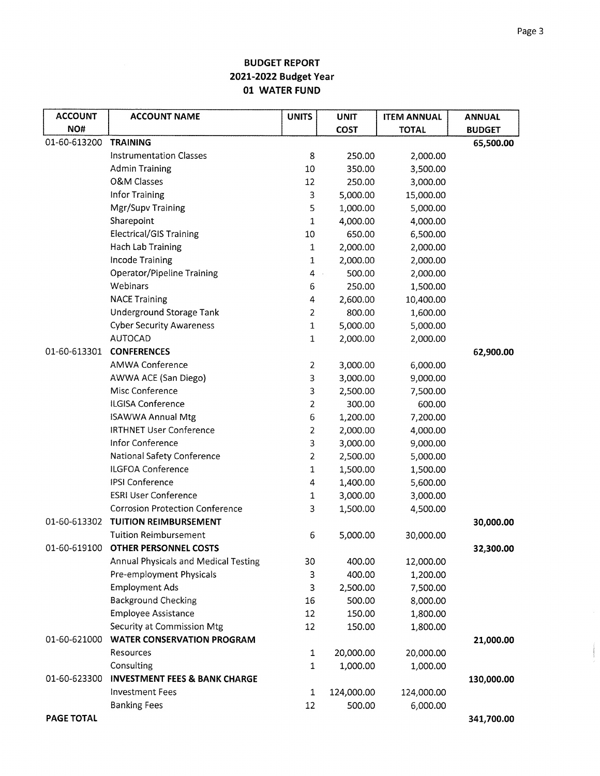| <b>ACCOUNT</b> | <b>ACCOUNT NAME</b>                      | <b>UNITS</b>   | <b>UNIT</b>      | <b>ITEM ANNUAL</b> | <b>ANNUAL</b> |
|----------------|------------------------------------------|----------------|------------------|--------------------|---------------|
| NO#            |                                          |                | <b>COST</b>      | <b>TOTAL</b>       | <b>BUDGET</b> |
| 01-60-613200   | <b>TRAINING</b>                          |                |                  |                    | 65,500.00     |
|                | <b>Instrumentation Classes</b>           | 8              | 250.00           | 2,000.00           |               |
|                | <b>Admin Training</b>                    | 10             | 350.00           | 3,500.00           |               |
|                | <b>O&amp;M Classes</b>                   | 12             | 250.00           | 3,000.00           |               |
|                | Infor Training                           | 3              | 5,000.00         | 15,000.00          |               |
|                | Mgr/Supv Training                        | 5              | 1,000.00         | 5,000.00           |               |
|                | Sharepoint                               | $\mathbf 1$    | 4,000.00         | 4,000.00           |               |
|                | <b>Electrical/GIS Training</b>           | 10             | 650.00           | 6,500.00           |               |
|                | Hach Lab Training                        | $\mathbf 1$    | 2,000.00         | 2,000.00           |               |
|                | <b>Incode Training</b>                   | $\mathbf 1$    | 2,000.00         | 2,000.00           |               |
|                | Operator/Pipeline Training               | 4              | 500.00<br>$\sim$ | 2,000.00           |               |
|                | Webinars                                 | 6              | 250.00           | 1,500.00           |               |
|                | <b>NACE Training</b>                     | 4              | 2,600.00         | 10,400.00          |               |
|                | Underground Storage Tank                 | $\overline{2}$ | 800.00           | 1,600.00           |               |
|                | <b>Cyber Security Awareness</b>          | $\mathbf 1$    | 5,000.00         | 5,000.00           |               |
|                | <b>AUTOCAD</b>                           | $\mathbf 1$    | 2,000.00         | 2,000.00           |               |
| 01-60-613301   | <b>CONFERENCES</b>                       |                |                  |                    | 62,900.00     |
|                | <b>AMWA Conference</b>                   | $\overline{2}$ | 3,000.00         | 6,000.00           |               |
|                | AWWA ACE (San Diego)                     | 3              | 3,000.00         | 9,000.00           |               |
|                | Misc Conference                          | 3              | 2,500.00         | 7,500.00           |               |
|                | ILGISA Conference                        | $\overline{2}$ | 300.00           | 600.00             |               |
|                | <b>ISAWWA Annual Mtg</b>                 | 6              | 1,200.00         | 7,200.00           |               |
|                | <b>IRTHNET User Conference</b>           | $\overline{2}$ | 2,000.00         | 4,000.00           |               |
|                | Infor Conference                         | 3              | 3,000.00         | 9,000.00           |               |
|                | National Safety Conference               | $\overline{c}$ | 2,500.00         | 5,000.00           |               |
|                | <b>ILGFOA Conference</b>                 | $\mathbf{1}$   | 1,500.00         | 1,500.00           |               |
|                | <b>IPSI Conference</b>                   | 4              | 1,400.00         | 5,600.00           |               |
|                | <b>ESRI User Conference</b>              | $\mathbf{1}$   | 3,000.00         | 3,000.00           |               |
|                | <b>Corrosion Protection Conference</b>   | 3              | 1,500.00         | 4,500.00           |               |
| 01-60-613302   | <b>TUITION REIMBURSEMENT</b>             |                |                  |                    | 30,000.00     |
|                | <b>Tuition Reimbursement</b>             | 6              | 5,000.00         | 30,000.00          |               |
|                | 01-60-619100 OTHER PERSONNEL COSTS       |                |                  |                    | 32,300.00     |
|                | Annual Physicals and Medical Testing     | 30             | 400.00           | 12,000.00          |               |
|                | Pre-employment Physicals                 | 3              | 400.00           | 1,200.00           |               |
|                | <b>Employment Ads</b>                    | 3              | 2,500.00         | 7,500.00           |               |
|                | <b>Background Checking</b>               | 16             | 500.00           | 8,000.00           |               |
|                | <b>Employee Assistance</b>               | 12             | 150.00           | 1,800.00           |               |
|                | Security at Commission Mtg               | 12             | 150.00           | 1,800.00           |               |
| 01-60-621000   | <b>WATER CONSERVATION PROGRAM</b>        |                |                  |                    | 21,000.00     |
|                | Resources                                | 1              | 20,000.00        | 20,000.00          |               |
|                | Consulting                               | 1              | 1,000.00         | 1,000.00           |               |
| 01-60-623300   | <b>INVESTMENT FEES &amp; BANK CHARGE</b> |                |                  |                    | 130,000.00    |
|                | <b>Investment Fees</b>                   | $\mathbf 1$    | 124,000.00       | 124,000.00         |               |
|                | <b>Banking Fees</b>                      | 12             | 500.00           | 6,000.00           |               |
| PAGE TOTAL     |                                          |                |                  |                    | 341,700.00    |

and one produce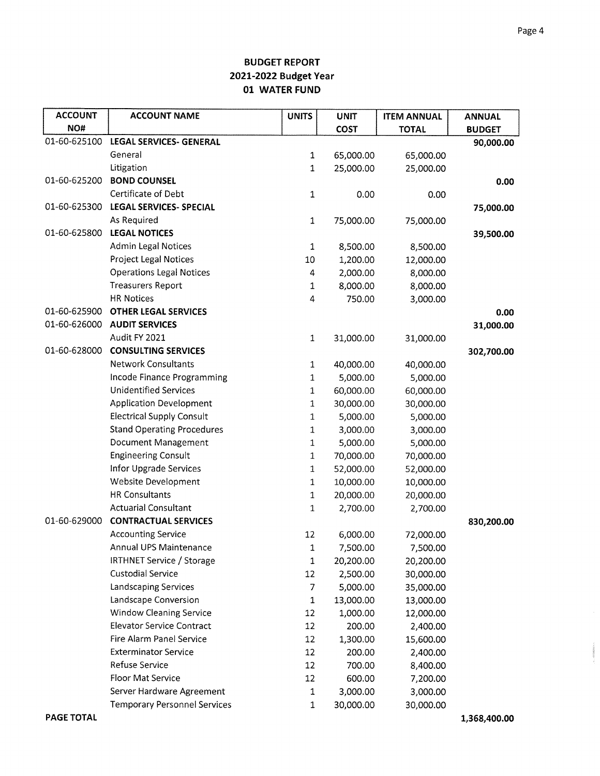| <b>ACCOUNT</b> | <b>ACCOUNT NAME</b>                 | <b>UNITS</b> | <b>UNIT</b> | <b>ITEM ANNUAL</b> | <b>ANNUAL</b> |
|----------------|-------------------------------------|--------------|-------------|--------------------|---------------|
| NO#            |                                     |              | COST        | <b>TOTAL</b>       | <b>BUDGET</b> |
| 01-60-625100   | <b>LEGAL SERVICES- GENERAL</b>      |              |             |                    | 90,000.00     |
|                | General                             | $\mathbf{1}$ | 65,000.00   | 65,000.00          |               |
|                | Litigation                          | $\mathbf 1$  | 25,000.00   | 25,000.00          |               |
| 01-60-625200   | <b>BOND COUNSEL</b>                 |              |             |                    | 0.00          |
|                | Certificate of Debt                 | $\mathbf 1$  | 0.00        | 0.00               |               |
| 01-60-625300   | <b>LEGAL SERVICES- SPECIAL</b>      |              |             |                    | 75,000.00     |
|                | As Required                         | $\mathbf{1}$ | 75,000.00   | 75,000.00          |               |
| 01-60-625800   | <b>LEGAL NOTICES</b>                |              |             |                    | 39,500.00     |
|                | <b>Admin Legal Notices</b>          | 1            | 8,500.00    | 8,500.00           |               |
|                | <b>Project Legal Notices</b>        | 10           | 1,200.00    | 12,000.00          |               |
|                | <b>Operations Legal Notices</b>     | 4            | 2,000.00    | 8,000.00           |               |
|                | <b>Treasurers Report</b>            | $\mathbf{1}$ | 8,000.00    | 8,000.00           |               |
|                | <b>HR Notices</b>                   | 4            | 750.00      | 3,000.00           |               |
| 01-60-625900   | <b>OTHER LEGAL SERVICES</b>         |              |             |                    | 0.00          |
| 01-60-626000   | <b>AUDIT SERVICES</b>               |              |             |                    | 31,000.00     |
|                | Audit FY 2021                       | $\mathbf 1$  | 31,000.00   | 31,000.00          |               |
| 01-60-628000   | <b>CONSULTING SERVICES</b>          |              |             |                    | 302,700.00    |
|                | <b>Network Consultants</b>          | $\mathbf 1$  | 40,000.00   | 40,000.00          |               |
|                | Incode Finance Programming          | $\mathbf 1$  | 5,000.00    | 5,000.00           |               |
|                | <b>Unidentified Services</b>        | 1            | 60,000.00   | 60,000.00          |               |
|                | <b>Application Development</b>      | $\mathbf 1$  | 30,000.00   | 30,000.00          |               |
|                | <b>Electrical Supply Consult</b>    | $\mathbf 1$  | 5,000.00    | 5,000.00           |               |
|                | <b>Stand Operating Procedures</b>   | $\,1$        | 3,000.00    | 3,000.00           |               |
|                | Document Management                 | $\mathbf 1$  | 5,000.00    | 5,000.00           |               |
|                | <b>Engineering Consult</b>          | 1            | 70,000.00   | 70,000.00          |               |
|                | Infor Upgrade Services              | $\mathbf{1}$ | 52,000.00   | 52,000.00          |               |
|                | Website Development                 | $\mathbf{1}$ | 10,000.00   | 10,000.00          |               |
|                | <b>HR Consultants</b>               | $\mathbf 1$  | 20,000.00   | 20,000.00          |               |
|                | <b>Actuarial Consultant</b>         | 1            | 2,700.00    | 2,700.00           |               |
| 01-60-629000   | <b>CONTRACTUAL SERVICES</b>         |              |             |                    | 830,200.00    |
|                | <b>Accounting Service</b>           | 12           | 6,000.00    | 72,000.00          |               |
|                | Annual UPS Maintenance              | 1            | 7,500.00    | 7,500.00           |               |
|                | <b>IRTHNET Service / Storage</b>    | 1            | 20,200.00   | 20,200.00          |               |
|                | <b>Custodial Service</b>            | 12           | 2,500.00    | 30,000.00          |               |
|                | Landscaping Services                | 7            | 5,000.00    | 35,000.00          |               |
|                | Landscape Conversion                | $\mathbf 1$  | 13,000.00   | 13,000.00          |               |
|                | <b>Window Cleaning Service</b>      | 12           | 1,000.00    | 12,000.00          |               |
|                | <b>Elevator Service Contract</b>    | 12           | 200.00      | 2,400.00           |               |
|                | Fire Alarm Panel Service            | 12           | 1,300.00    | 15,600.00          |               |
|                | <b>Exterminator Service</b>         | 12           | 200.00      | 2,400.00           |               |
|                | Refuse Service                      | 12           | 700.00      | 8,400.00           |               |
|                | Floor Mat Service                   | 12           | 600.00      | 7,200.00           |               |
|                | Server Hardware Agreement           | 1            | 3,000.00    | 3,000.00           |               |
|                | <b>Temporary Personnel Services</b> | $\mathbf 1$  | 30,000.00   | 30,000.00          |               |

 $\alpha_{\alpha}$  propagators .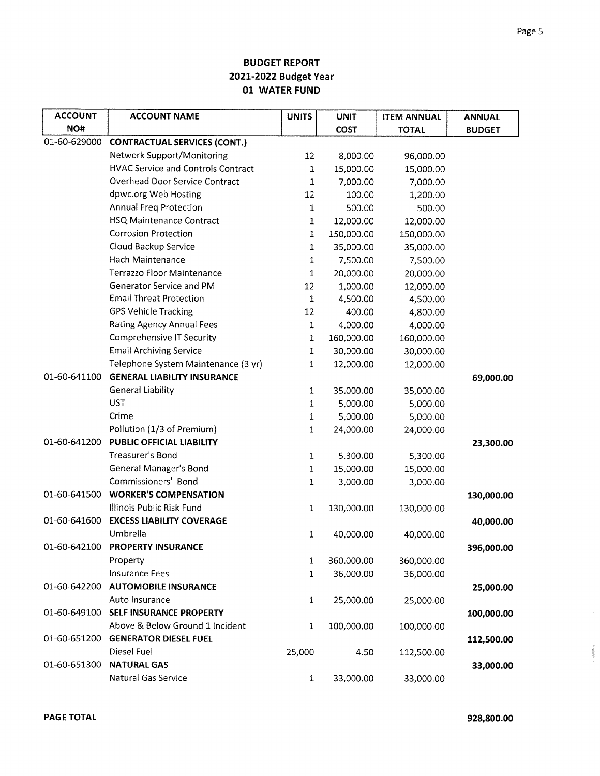| <b>ACCOUNT</b> | <b>ACCOUNT NAME</b>                       | <b>UNITS</b> | <b>UNIT</b> | <b>ITEM ANNUAL</b> | <b>ANNUAL</b> |
|----------------|-------------------------------------------|--------------|-------------|--------------------|---------------|
| NO#            |                                           |              | <b>COST</b> | <b>TOTAL</b>       | <b>BUDGET</b> |
| 01-60-629000   | <b>CONTRACTUAL SERVICES (CONT.)</b>       |              |             |                    |               |
|                | Network Support/Monitoring                | 12           | 8,000.00    | 96,000.00          |               |
|                | <b>HVAC Service and Controls Contract</b> | 1            | 15,000.00   | 15,000.00          |               |
|                | <b>Overhead Door Service Contract</b>     | 1            | 7,000.00    | 7,000.00           |               |
|                | dpwc.org Web Hosting                      | 12           | 100.00      | 1,200.00           |               |
|                | Annual Freg Protection                    | $\mathbf{1}$ | 500.00      | 500.00             |               |
|                | <b>HSQ Maintenance Contract</b>           | $\mathbf{1}$ | 12,000.00   | 12,000.00          |               |
|                | <b>Corrosion Protection</b>               | $\mathbf 1$  | 150,000.00  | 150,000.00         |               |
|                | Cloud Backup Service                      | $\mathbf 1$  | 35,000.00   | 35,000.00          |               |
|                | Hach Maintenance                          | 1            | 7,500.00    | 7,500.00           |               |
|                | Terrazzo Floor Maintenance                | $\mathbf 1$  | 20,000.00   | 20,000.00          |               |
|                | Generator Service and PM                  | 12           | 1,000.00    | 12,000.00          |               |
|                | <b>Email Threat Protection</b>            | 1            | 4,500.00    | 4,500.00           |               |
|                | <b>GPS Vehicle Tracking</b>               | 12           | 400.00      | 4,800.00           |               |
|                | <b>Rating Agency Annual Fees</b>          | 1            | 4,000.00    | 4,000.00           |               |
|                | <b>Comprehensive IT Security</b>          | $\mathbf 1$  | 160,000.00  | 160,000.00         |               |
|                | <b>Email Archiving Service</b>            | 1            | 30,000.00   | 30,000.00          |               |
|                | Telephone System Maintenance (3 yr)       | 1            | 12,000.00   | 12,000.00          |               |
| 01-60-641100   | <b>GENERAL LIABILITY INSURANCE</b>        |              |             |                    | 69,000.00     |
|                | <b>General Liability</b>                  | $\mathbf 1$  | 35,000.00   | 35,000.00          |               |
|                | <b>UST</b>                                | $\mathbf 1$  | 5,000.00    | 5,000.00           |               |
|                | Crime                                     | 1            | 5,000.00    | 5,000.00           |               |
|                | Pollution (1/3 of Premium)                | 1            | 24,000.00   | 24,000.00          |               |
| 01-60-641200   | PUBLIC OFFICIAL LIABILITY                 |              |             |                    | 23,300.00     |
|                | Treasurer's Bond                          | $\mathbf 1$  | 5,300.00    | 5,300.00           |               |
|                | General Manager's Bond                    | 1            | 15,000.00   | 15,000.00          |               |
|                | Commissioners' Bond                       | 1            | 3,000.00    | 3,000.00           |               |
| 01-60-641500   | <b>WORKER'S COMPENSATION</b>              |              |             |                    | 130,000.00    |
|                | Illinois Public Risk Fund                 | 1            | 130,000.00  | 130,000.00         |               |
| 01-60-641600   | <b>EXCESS LIABILITY COVERAGE</b>          |              |             |                    | 40,000.00     |
|                | Umbrella                                  | 1            | 40,000.00   | 40,000.00          |               |
| 01-60-642100   | <b>PROPERTY INSURANCE</b>                 |              |             |                    | 396,000.00    |
|                | Property                                  | 1            | 360,000.00  | 360,000.00         |               |
|                | <b>Insurance Fees</b>                     | 1            | 36,000.00   | 36,000.00          |               |
| 01-60-642200   | <b>AUTOMOBILE INSURANCE</b>               |              |             |                    | 25,000.00     |
|                | Auto Insurance                            | $\mathbf 1$  | 25,000.00   | 25,000.00          |               |
| 01-60-649100   | <b>SELF INSURANCE PROPERTY</b>            |              |             |                    | 100,000.00    |
|                | Above & Below Ground 1 Incident           | $\mathbf 1$  | 100,000.00  | 100,000.00         |               |
| 01-60-651200   | <b>GENERATOR DIESEL FUEL</b>              |              |             |                    | 112,500.00    |
|                | Diesel Fuel                               | 25,000       | 4.50        | 112,500.00         |               |
| 01-60-651300   | <b>NATURAL GAS</b>                        |              |             |                    | 33,000.00     |
|                | Natural Gas Service                       | $\mathbf 1$  | 33,000.00   | 33,000.00          |               |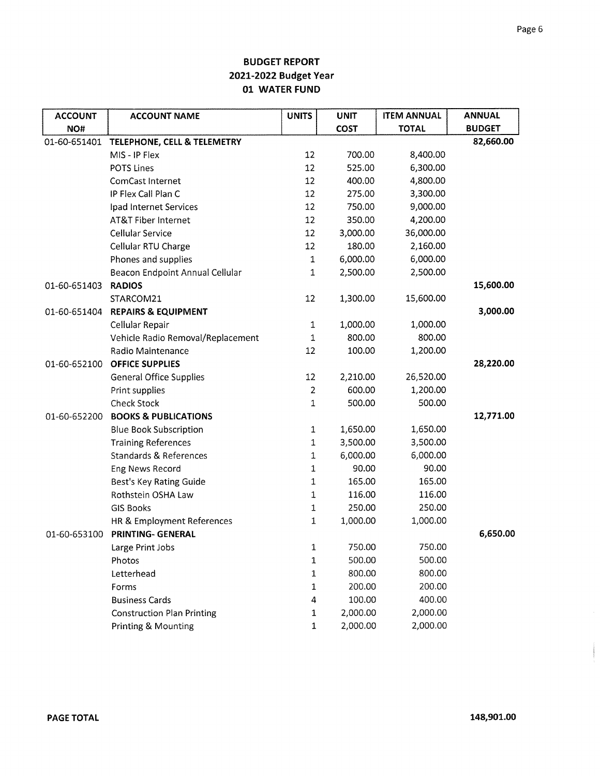| <b>ACCOUNT</b> | <b>ACCOUNT NAME</b>               | <b>UNITS</b>   | <b>UNIT</b> | <b>ITEM ANNUAL</b> | <b>ANNUAL</b> |
|----------------|-----------------------------------|----------------|-------------|--------------------|---------------|
| NO#            |                                   |                | <b>COST</b> | <b>TOTAL</b>       | <b>BUDGET</b> |
| 01-60-651401   | TELEPHONE, CELL & TELEMETRY       |                |             |                    | 82,660.00     |
|                | MIS - IP Flex                     | 12             | 700.00      | 8,400.00           |               |
|                | <b>POTS Lines</b>                 | 12             | 525.00      | 6,300.00           |               |
|                | ComCast Internet                  | 12             | 400.00      | 4,800.00           |               |
|                | IP Flex Call Plan C               | 12             | 275.00      | 3,300.00           |               |
|                | Ipad Internet Services            | 12             | 750.00      | 9,000.00           |               |
|                | AT&T Fiber Internet               | 12             | 350.00      | 4,200.00           |               |
|                | Cellular Service                  | 12             | 3,000.00    | 36,000.00          |               |
|                | Cellular RTU Charge               | 12             | 180.00      | 2,160.00           |               |
|                | Phones and supplies               | $\mathbf 1$    | 6,000.00    | 6,000.00           |               |
|                | Beacon Endpoint Annual Cellular   | $\mathbf 1$    | 2,500.00    | 2,500.00           |               |
| 01-60-651403   | <b>RADIOS</b>                     |                |             |                    | 15,600.00     |
|                | STARCOM21                         | 12             | 1,300.00    | 15,600.00          |               |
| 01-60-651404   | <b>REPAIRS &amp; EQUIPMENT</b>    |                |             |                    | 3,000.00      |
|                | Cellular Repair                   | $\mathbf{1}$   | 1,000.00    | 1,000.00           |               |
|                | Vehicle Radio Removal/Replacement | 1              | 800.00      | 800.00             |               |
|                | Radio Maintenance                 | 12             | 100.00      | 1,200.00           |               |
| 01-60-652100   | <b>OFFICE SUPPLIES</b>            |                |             |                    | 28,220.00     |
|                | <b>General Office Supplies</b>    | 12             | 2,210.00    | 26,520.00          |               |
|                | Print supplies                    | $\overline{2}$ | 600.00      | 1,200.00           |               |
|                | <b>Check Stock</b>                | 1              | 500.00      | 500.00             |               |
| 01-60-652200   | <b>BOOKS &amp; PUBLICATIONS</b>   |                |             |                    | 12,771.00     |
|                | <b>Blue Book Subscription</b>     | $\mathbf{1}$   | 1,650.00    | 1,650.00           |               |
|                | <b>Training References</b>        | 1              | 3,500.00    | 3,500.00           |               |
|                | <b>Standards &amp; References</b> | 1              | 6,000.00    | 6,000.00           |               |
|                | Eng News Record                   | 1              | 90.00       | 90.00              |               |
|                | Best's Key Rating Guide           | 1              | 165.00      | 165.00             |               |
|                | Rothstein OSHA Law                | $\mathbf 1$    | 116.00      | 116.00             |               |
|                | <b>GIS Books</b>                  | 1              | 250.00      | 250.00             |               |
|                | HR & Employment References        | 1              | 1,000.00    | 1,000.00           |               |
| 01-60-653100   | <b>PRINTING- GENERAL</b>          |                |             |                    | 6,650.00      |
|                | Large Print Jobs                  | 1              | 750.00      | 750.00             |               |
|                | Photos                            | $\mathbf 1$    | 500.00      | 500.00             |               |
|                | Letterhead                        | $\mathbf 1$    | 800.00      | 800.00             |               |
|                | Forms                             | 1              | 200.00      | 200.00             |               |
|                | <b>Business Cards</b>             | 4              | 100.00      | 400.00             |               |
|                | <b>Construction Plan Printing</b> | $\mathbf{1}$   | 2,000.00    | 2,000.00           |               |
|                | Printing & Mounting               | 1              | 2,000.00    | 2,000.00           |               |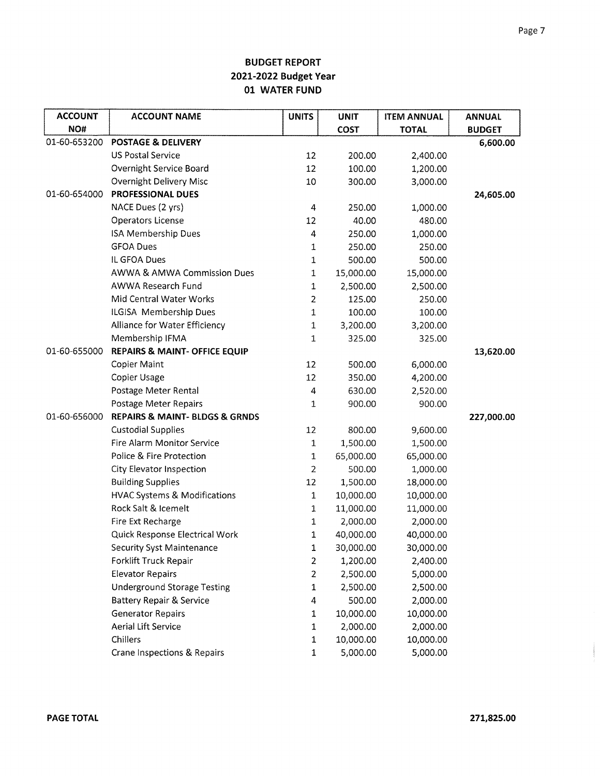| <b>ACCOUNT</b> | <b>ACCOUNT NAME</b>                           | <b>UNITS</b>            | <b>UNIT</b> | <b>ITEM ANNUAL</b> | <b>ANNUAL</b> |
|----------------|-----------------------------------------------|-------------------------|-------------|--------------------|---------------|
| NO#            |                                               |                         | <b>COST</b> | <b>TOTAL</b>       | <b>BUDGET</b> |
| 01-60-653200   | <b>POSTAGE &amp; DELIVERY</b>                 |                         |             |                    | 6,600.00      |
|                | <b>US Postal Service</b>                      | 12                      | 200.00      | 2,400.00           |               |
|                | Overnight Service Board                       | 12                      | 100.00      | 1,200.00           |               |
|                | <b>Overnight Delivery Misc</b>                | 10                      | 300.00      | 3,000.00           |               |
| 01-60-654000   | <b>PROFESSIONAL DUES</b>                      |                         |             |                    | 24,605.00     |
|                | NACE Dues (2 yrs)                             | $\overline{\mathbf{4}}$ | 250.00      | 1,000.00           |               |
|                | Operators License                             | 12                      | 40.00       | 480.00             |               |
|                | <b>ISA Membership Dues</b>                    | 4                       | 250.00      | 1,000.00           |               |
|                | <b>GFOA Dues</b>                              | 1                       | 250.00      | 250.00             |               |
|                | IL GFOA Dues                                  | 1                       | 500.00      | 500.00             |               |
|                | AWWA & AMWA Commission Dues                   | $\mathbf{1}$            | 15,000.00   | 15,000.00          |               |
|                | AWWA Research Fund                            | $\mathbf{1}$            | 2,500.00    | 2,500.00           |               |
|                | Mid Central Water Works                       | 2                       | 125.00      | 250.00             |               |
|                | ILGISA Membership Dues                        | $\mathbf{1}$            | 100.00      | 100.00             |               |
|                | Alliance for Water Efficiency                 | 1                       | 3,200.00    | 3,200.00           |               |
|                | Membership IFMA                               | 1                       | 325.00      | 325.00             |               |
| 01-60-655000   | <b>REPAIRS &amp; MAINT- OFFICE EQUIP</b>      |                         |             |                    | 13,620.00     |
|                | <b>Copier Maint</b>                           | 12                      | 500.00      | 6,000.00           |               |
|                | Copier Usage                                  | 12                      | 350.00      | 4,200.00           |               |
|                | Postage Meter Rental                          | 4                       | 630.00      | 2,520.00           |               |
|                | Postage Meter Repairs                         | 1                       | 900.00      | 900.00             |               |
| 01-60-656000   | <b>REPAIRS &amp; MAINT- BLDGS &amp; GRNDS</b> |                         |             |                    | 227,000.00    |
|                | <b>Custodial Supplies</b>                     | 12                      | 800.00      | 9,600.00           |               |
|                | Fire Alarm Monitor Service                    | 1                       | 1,500.00    | 1,500.00           |               |
|                | Police & Fire Protection                      | 1                       | 65,000.00   | 65,000.00          |               |
|                | City Elevator Inspection                      | 2                       | 500.00      | 1,000.00           |               |
|                | <b>Building Supplies</b>                      | 12                      | 1,500.00    | 18,000.00          |               |
|                | <b>HVAC Systems &amp; Modifications</b>       | $\mathbf 1$             | 10,000.00   | 10,000.00          |               |
|                | Rock Salt & Icemelt                           | 1                       | 11,000.00   | 11,000.00          |               |
|                | Fire Ext Recharge                             | 1                       | 2,000.00    | 2,000.00           |               |
|                | Quick Response Electrical Work                | 1                       | 40,000.00   | 40,000.00          |               |
|                | <b>Security Syst Maintenance</b>              | 1                       | 30,000.00   | 30,000.00          |               |
|                | Forklift Truck Repair                         | 2                       | 1,200.00    | 2,400.00           |               |
|                | <b>Elevator Repairs</b>                       | $\overline{2}$          | 2,500.00    | 5,000.00           |               |
|                | <b>Underground Storage Testing</b>            | $\mathbf{1}$            | 2,500.00    | 2,500.00           |               |
|                | <b>Battery Repair &amp; Service</b>           | 4                       | 500.00      | 2,000.00           |               |
|                | <b>Generator Repairs</b>                      | 1                       | 10,000.00   | 10,000.00          |               |
|                | <b>Aerial Lift Service</b>                    | 1                       | 2,000.00    | 2,000.00           |               |
|                | Chillers                                      | 1                       | 10,000.00   | 10,000.00          |               |
|                | Crane Inspections & Repairs                   | $\mathbf 1$             | 5,000.00    | 5,000.00           |               |

 $\label{eq:3} \begin{split} \mathcal{M}^{(0)}_{\mathcal{M}}(0) & \leq \mathcal{M}^{(0)}_{\mathcal{M}}(0) \leq \mathcal{M}^{(0)}_{\mathcal{M}}(0) \leq \mathcal{M}^{(0)}_{\mathcal{M}}(0) \leq \mathcal{M}^{(0)}_{\mathcal{M}}(0) \leq \mathcal{M}^{(0)}_{\mathcal{M}}(0) \leq \mathcal{M}^{(0)}_{\mathcal{M}}(0) \leq \mathcal{M}^{(0)}_{\mathcal{M}}(0) \leq \mathcal{M}^{(0)}_{\mathcal{M}}(0) \leq$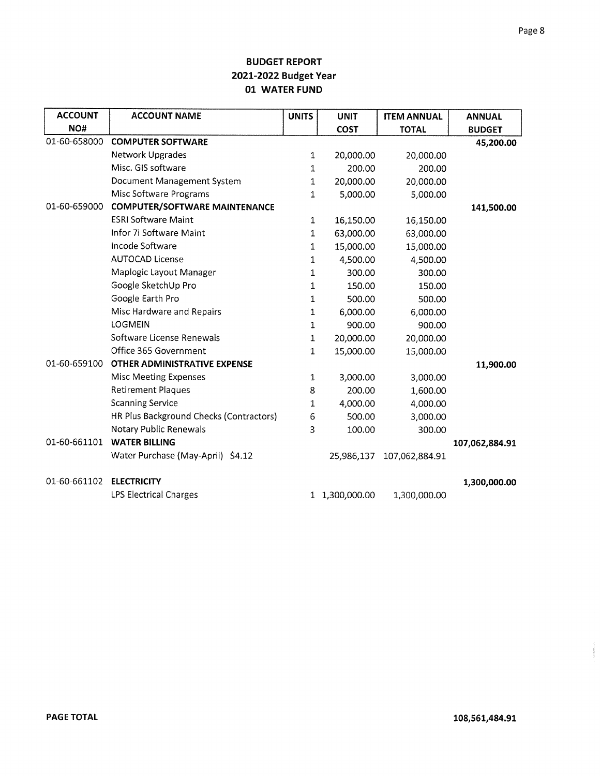| <b>ACCOUNT</b> | <b>ACCOUNT NAME</b>                     | <b>UNITS</b> | <b>UNIT</b>    | <b>ITEM ANNUAL</b> | <b>ANNUAL</b>  |
|----------------|-----------------------------------------|--------------|----------------|--------------------|----------------|
| NO#            |                                         |              | <b>COST</b>    | <b>TOTAL</b>       | <b>BUDGET</b>  |
| 01-60-658000   | <b>COMPUTER SOFTWARE</b>                |              |                |                    | 45,200.00      |
|                | Network Upgrades                        | $\mathbf{1}$ | 20,000.00      | 20,000.00          |                |
|                | Misc. GIS software                      | 1            | 200.00         | 200.00             |                |
|                | Document Management System              | 1            | 20,000.00      | 20,000.00          |                |
|                | Misc Software Programs                  | $\mathbf{1}$ | 5,000.00       | 5,000.00           |                |
| 01-60-659000   | <b>COMPUTER/SOFTWARE MAINTENANCE</b>    |              |                |                    | 141,500.00     |
|                | <b>ESRI Software Maint</b>              | 1            | 16,150.00      | 16,150.00          |                |
|                | Infor 7i Software Maint                 | $\mathbf{1}$ | 63,000.00      | 63,000.00          |                |
|                | Incode Software                         | 1            | 15,000.00      | 15,000.00          |                |
|                | <b>AUTOCAD License</b>                  | 1            | 4,500.00       | 4,500.00           |                |
|                | Maplogic Layout Manager                 | 1            | 300.00         | 300.00             |                |
|                | Google SketchUp Pro                     | 1            | 150.00         | 150.00             |                |
|                | Google Earth Pro                        | 1            | 500.00         | 500.00             |                |
|                | Misc Hardware and Repairs               | $\mathbf 1$  | 6,000.00       | 6,000.00           |                |
|                | <b>LOGMEIN</b>                          | $\mathbf{1}$ | 900.00         | 900.00             |                |
|                | Software License Renewals               | $\mathbf{1}$ | 20,000.00      | 20,000.00          |                |
|                | Office 365 Government                   | $\mathbf{1}$ | 15,000.00      | 15,000.00          |                |
| 01-60-659100   | <b>OTHER ADMINISTRATIVE EXPENSE</b>     |              |                |                    | 11,900.00      |
|                | <b>Misc Meeting Expenses</b>            | $\mathbf{1}$ | 3,000.00       | 3,000.00           |                |
|                | <b>Retirement Plaques</b>               | 8            | 200.00         | 1,600.00           |                |
|                | <b>Scanning Service</b>                 | 1            | 4,000.00       | 4,000.00           |                |
|                | HR Plus Background Checks (Contractors) | 6            | 500.00         | 3,000.00           |                |
|                | Notary Public Renewals                  | 3            | 100.00         | 300.00             |                |
| 01-60-661101   | <b>WATER BILLING</b>                    |              |                |                    | 107,062,884.91 |
|                | Water Purchase (May-April) \$4.12       |              | 25,986,137     | 107,062,884.91     |                |
| 01-60-661102   | <b>ELECTRICITY</b>                      |              |                |                    | 1,300,000.00   |
|                | <b>LPS Electrical Charges</b>           |              | 1 1,300,000.00 | 1,300,000.00       |                |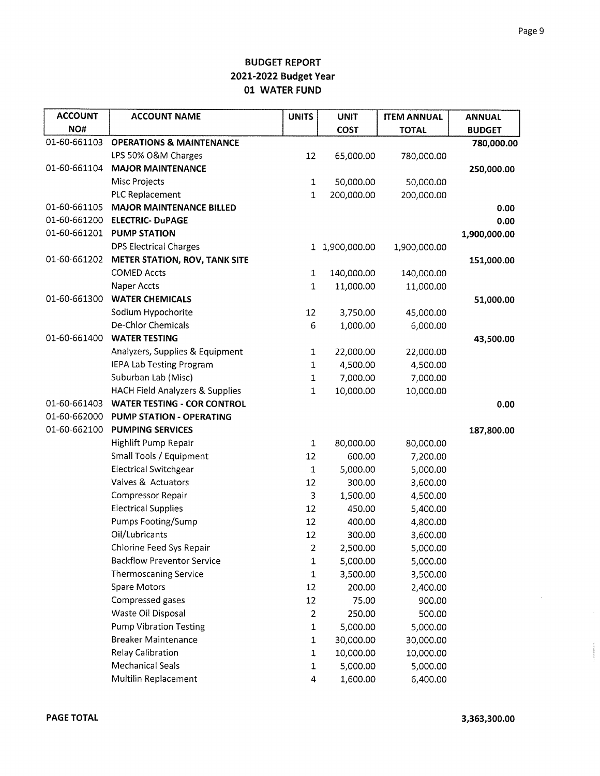| <b>ACCOUNT</b> | <b>ACCOUNT NAME</b>                        | <b>UNITS</b> | <b>UNIT</b>    | <b>ITEM ANNUAL</b> | <b>ANNUAL</b> |
|----------------|--------------------------------------------|--------------|----------------|--------------------|---------------|
| NO#            |                                            |              | <b>COST</b>    | <b>TOTAL</b>       | <b>BUDGET</b> |
| 01-60-661103   | <b>OPERATIONS &amp; MAINTENANCE</b>        |              |                |                    | 780,000.00    |
|                | LPS 50% O&M Charges                        | 12           | 65,000.00      | 780,000.00         |               |
| 01-60-661104   | <b>MAJOR MAINTENANCE</b>                   |              |                |                    | 250,000.00    |
|                | Misc Projects                              | $\mathbf{1}$ | 50,000.00      | 50,000.00          |               |
|                | PLC Replacement                            | 1            | 200,000.00     | 200,000.00         |               |
| 01-60-661105   | <b>MAJOR MAINTENANCE BILLED</b>            |              |                |                    | 0.00          |
| 01-60-661200   | <b>ELECTRIC- DuPAGE</b>                    |              |                |                    | 0.00          |
|                | 01-60-661201 PUMP STATION                  |              |                |                    | 1,900,000.00  |
|                | <b>DPS Electrical Charges</b>              |              | 1 1,900,000.00 | 1,900,000.00       |               |
| 01-60-661202   | <b>METER STATION, ROV, TANK SITE</b>       |              |                |                    | 151,000.00    |
|                | <b>COMED Accts</b>                         | $\mathbf{1}$ | 140,000.00     | 140,000.00         |               |
|                | Naper Accts                                | $\mathbf{1}$ | 11,000.00      | 11,000.00          |               |
| 01-60-661300   | <b>WATER CHEMICALS</b>                     |              |                |                    | 51,000.00     |
|                | Sodium Hypochorite                         | 12           | 3,750.00       | 45,000.00          |               |
|                | De-Chlor Chemicals                         | 6            | 1,000.00       | 6,000.00           |               |
| 01-60-661400   | <b>WATER TESTING</b>                       |              |                |                    | 43,500.00     |
|                | Analyzers, Supplies & Equipment            | $\mathbf{1}$ | 22,000.00      | 22,000.00          |               |
|                | IEPA Lab Testing Program                   | $\mathbf{1}$ | 4,500.00       | 4,500.00           |               |
|                | Suburban Lab (Misc)                        | $\mathbf{1}$ | 7,000.00       | 7,000.00           |               |
|                | <b>HACH Field Analyzers &amp; Supplies</b> | $\mathbf 1$  | 10,000.00      | 10,000.00          |               |
| 01-60-661403   | <b>WATER TESTING - COR CONTROL</b>         |              |                |                    | 0.00          |
| 01-60-662000   | PUMP STATION - OPERATING                   |              |                |                    |               |
| 01-60-662100   | <b>PUMPING SERVICES</b>                    |              |                |                    | 187,800.00    |
|                | Highlift Pump Repair                       | $\mathbf 1$  | 80,000.00      | 80,000.00          |               |
|                | Small Tools / Equipment                    | 12           | 600.00         | 7,200.00           |               |
|                | <b>Electrical Switchgear</b>               | $\mathbf{1}$ | 5,000.00       | 5,000.00           |               |
|                | Valves & Actuators                         | 12           | 300.00         | 3,600.00           |               |
|                | <b>Compressor Repair</b>                   | 3            | 1,500.00       | 4,500.00           |               |
|                | <b>Electrical Supplies</b>                 | 12           | 450.00         | 5,400.00           |               |
|                | Pumps Footing/Sump                         | 12           | 400.00         | 4,800.00           |               |
|                | Oil/Lubricants                             | 12           | 300.00         | 3,600.00           |               |
|                | Chlorine Feed Sys Repair                   | 2            | 2,500.00       | 5,000.00           |               |
|                | <b>Backflow Preventor Service</b>          | $\mathbf{1}$ | 5,000.00       | 5,000.00           |               |
|                | <b>Thermoscaning Service</b>               | $\mathbf 1$  | 3,500.00       | 3,500.00           |               |
|                | <b>Spare Motors</b>                        | 12           | 200.00         | 2,400.00           |               |
|                | Compressed gases                           | 12           | 75.00          | 900.00             |               |
|                | Waste Oil Disposal                         | 2            | 250.00         | 500.00             |               |
|                | <b>Pump Vibration Testing</b>              | 1            | 5,000.00       | 5,000.00           |               |
|                | <b>Breaker Maintenance</b>                 | 1            | 30,000.00      | 30,000.00          |               |
|                | <b>Relay Calibration</b>                   | 1            | 10,000.00      | 10,000.00          |               |
|                | <b>Mechanical Seals</b>                    | 1            | 5,000.00       | 5,000.00           |               |
|                | Multilin Replacement                       | 4            | 1,600.00       | 6,400.00           |               |

 $\bar{L}$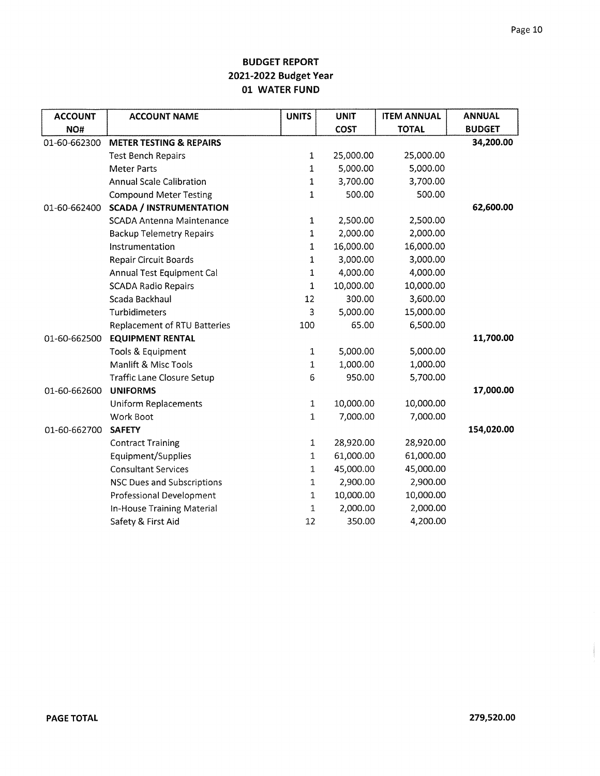| <b>ACCOUNT</b> | <b>ACCOUNT NAME</b>                 | <b>UNITS</b> | <b>UNIT</b> | <b>ITEM ANNUAL</b> | <b>ANNUAL</b> |
|----------------|-------------------------------------|--------------|-------------|--------------------|---------------|
| NO#            |                                     |              | <b>COST</b> | <b>TOTAL</b>       | <b>BUDGET</b> |
| 01-60-662300   | <b>METER TESTING &amp; REPAIRS</b>  |              |             |                    | 34,200.00     |
|                | <b>Test Bench Repairs</b>           | 1            | 25,000.00   | 25,000.00          |               |
|                | <b>Meter Parts</b>                  | $\mathbf{1}$ | 5,000.00    | 5,000.00           |               |
|                | <b>Annual Scale Calibration</b>     | 1            | 3,700.00    | 3,700.00           |               |
|                | <b>Compound Meter Testing</b>       | 1            | 500.00      | 500.00             |               |
| 01-60-662400   | <b>SCADA / INSTRUMENTATION</b>      |              |             |                    | 62,600.00     |
|                | <b>SCADA Antenna Maintenance</b>    | $\mathbf 1$  | 2,500.00    | 2,500.00           |               |
|                | <b>Backup Telemetry Repairs</b>     | 1            | 2,000.00    | 2,000.00           |               |
|                | Instrumentation                     | 1            | 16,000.00   | 16,000.00          |               |
|                | <b>Repair Circuit Boards</b>        | 1            | 3,000.00    | 3,000.00           |               |
|                | Annual Test Equipment Cal           | 1            | 4,000.00    | 4,000.00           |               |
|                | <b>SCADA Radio Repairs</b>          | 1            | 10,000.00   | 10,000.00          |               |
|                | Scada Backhaul                      | 12           | 300.00      | 3,600.00           |               |
|                | Turbidimeters                       | 3            | 5,000.00    | 15,000.00          |               |
|                | <b>Replacement of RTU Batteries</b> | 100          | 65.00       | 6,500.00           |               |
| 01-60-662500   | <b>EQUIPMENT RENTAL</b>             |              |             |                    | 11,700.00     |
|                | Tools & Equipment                   | 1            | 5,000.00    | 5,000.00           |               |
|                | Manlift & Misc Tools                | 1            | 1,000.00    | 1,000.00           |               |
|                | <b>Traffic Lane Closure Setup</b>   | 6            | 950.00      | 5,700.00           |               |
| 01-60-662600   | <b>UNIFORMS</b>                     |              |             |                    | 17,000.00     |
|                | <b>Uniform Replacements</b>         | $\mathbf 1$  | 10,000.00   | 10,000.00          |               |
|                | Work Boot                           | $\mathbf{1}$ | 7,000.00    | 7,000.00           |               |
| 01-60-662700   | <b>SAFETY</b>                       |              |             |                    | 154,020.00    |
|                | <b>Contract Training</b>            | $\mathbf 1$  | 28,920.00   | 28,920.00          |               |
|                | Equipment/Supplies                  | $\mathbf{1}$ | 61,000.00   | 61,000.00          |               |
|                | <b>Consultant Services</b>          | 1            | 45,000.00   | 45,000.00          |               |
|                | <b>NSC Dues and Subscriptions</b>   | 1            | 2,900.00    | 2,900.00           |               |
|                | <b>Professional Development</b>     | 1            | 10,000.00   | 10,000.00          |               |
|                | In-House Training Material          | 1            | 2,000.00    | 2,000.00           |               |
|                | Safety & First Aid                  | 12           | 350.00      | 4,200.00           |               |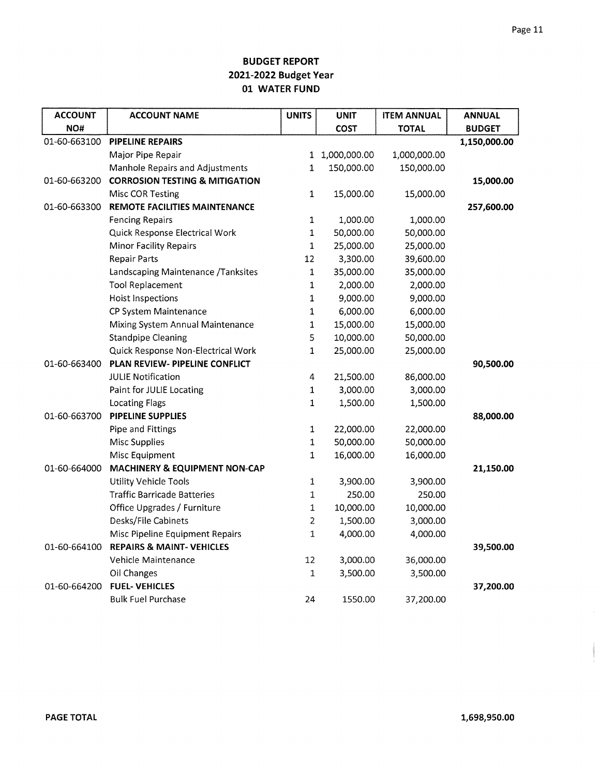| <b>ACCOUNT</b> | <b>ACCOUNT NAME</b>                       | <b>UNITS</b>   | <b>UNIT</b>  | <b>ITEM ANNUAL</b> | <b>ANNUAL</b> |
|----------------|-------------------------------------------|----------------|--------------|--------------------|---------------|
| NO#            |                                           |                | <b>COST</b>  | <b>TOTAL</b>       | <b>BUDGET</b> |
| 01-60-663100   | PIPELINE REPAIRS                          |                |              |                    | 1,150,000.00  |
|                | Major Pipe Repair                         | 1              | 1,000,000.00 | 1,000,000.00       |               |
|                | Manhole Repairs and Adjustments           | 1              | 150,000.00   | 150,000.00         |               |
| 01-60-663200   | <b>CORROSION TESTING &amp; MITIGATION</b> |                |              |                    | 15,000.00     |
|                | Misc COR Testing                          | $\mathbf 1$    | 15,000.00    | 15,000.00          |               |
| 01-60-663300   | REMOTE FACILITIES MAINTENANCE             |                |              |                    | 257,600.00    |
|                | <b>Fencing Repairs</b>                    | $\mathbf 1$    | 1,000.00     | 1,000.00           |               |
|                | Quick Response Electrical Work            | $\mathbf{1}$   | 50,000.00    | 50,000.00          |               |
|                | <b>Minor Facility Repairs</b>             | $\mathbf 1$    | 25,000.00    | 25,000.00          |               |
|                | <b>Repair Parts</b>                       | 12             | 3,300.00     | 39,600.00          |               |
|                | Landscaping Maintenance /Tanksites        | $\mathbf{1}$   | 35,000.00    | 35,000.00          |               |
|                | <b>Tool Replacement</b>                   | $\mathbf 1$    | 2,000.00     | 2,000.00           |               |
|                | Hoist Inspections                         | $\mathbf{1}$   | 9,000.00     | 9,000.00           |               |
|                | CP System Maintenance                     | $\mathbf{1}$   | 6,000.00     | 6,000.00           |               |
|                | Mixing System Annual Maintenance          | $\mathbf{1}$   | 15,000.00    | 15,000.00          |               |
|                | <b>Standpipe Cleaning</b>                 | 5              | 10,000.00    | 50,000.00          |               |
|                | Quick Response Non-Electrical Work        | $\mathbf{1}$   | 25,000.00    | 25,000.00          |               |
| 01-60-663400   | PLAN REVIEW- PIPELINE CONFLICT            |                |              |                    | 90,500.00     |
|                | <b>JULIE Notification</b>                 | 4              | 21,500.00    | 86,000.00          |               |
|                | Paint for JULIE Locating                  | 1              | 3,000.00     | 3,000.00           |               |
|                | <b>Locating Flags</b>                     | $\mathbf{1}$   | 1,500.00     | 1,500.00           |               |
| 01-60-663700   | PIPELINE SUPPLIES                         |                |              |                    | 88,000.00     |
|                | Pipe and Fittings                         | $\mathbf 1$    | 22,000.00    | 22,000.00          |               |
|                | <b>Misc Supplies</b>                      | $\mathbf 1$    | 50,000.00    | 50,000.00          |               |
|                | Misc Equipment                            | $\mathbf 1$    | 16,000.00    | 16,000.00          |               |
| 01-60-664000   | MACHINERY & EQUIPMENT NON-CAP             |                |              |                    | 21,150.00     |
|                | <b>Utility Vehicle Tools</b>              | $\mathbf 1$    | 3,900.00     | 3,900.00           |               |
|                | <b>Traffic Barricade Batteries</b>        | $\mathbf 1$    | 250.00       | 250.00             |               |
|                | Office Upgrades / Furniture               | $\mathbf 1$    | 10,000.00    | 10,000.00          |               |
|                | Desks/File Cabinets                       | $\overline{2}$ | 1,500.00     | 3,000.00           |               |
|                | Misc Pipeline Equipment Repairs           | 1              | 4,000.00     | 4,000.00           |               |
| 01-60-664100   | <b>REPAIRS &amp; MAINT-VEHICLES</b>       |                |              |                    | 39,500.00     |
|                | Vehicle Maintenance                       | 12             | 3,000.00     | 36,000.00          |               |
|                | Oil Changes                               | $\mathbf{1}$   | 3,500.00     | 3,500.00           |               |
| 01-60-664200   | <b>FUEL-VEHICLES</b>                      |                |              |                    | 37,200.00     |
|                | <b>Bulk Fuel Purchase</b>                 | 24             | 1550.00      | 37,200.00          |               |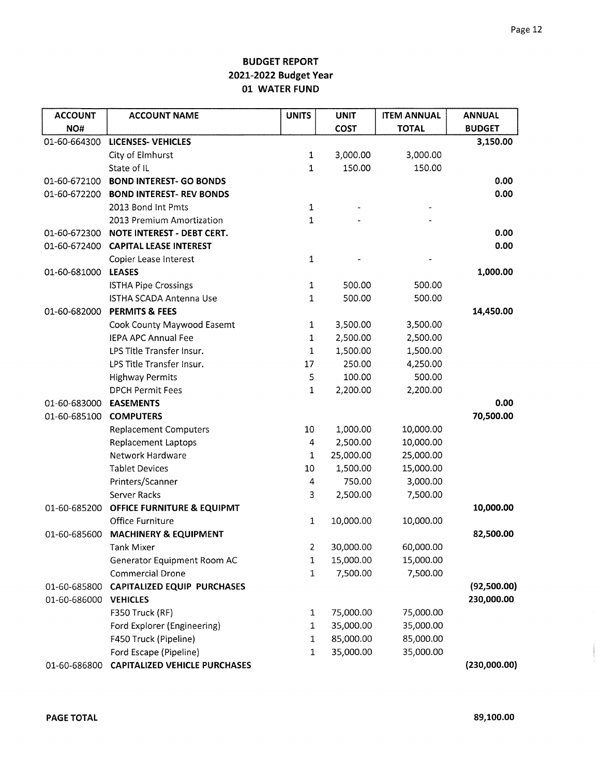| <b>ACCOUNT</b> | <b>ACCOUNT NAME</b>                  | <b>UNITS</b>   | <b>UNIT</b> | <b>ITEM ANNUAL</b> | <b>ANNUAL</b> |
|----------------|--------------------------------------|----------------|-------------|--------------------|---------------|
| NO#            |                                      |                | <b>COST</b> | <b>TOTAL</b>       | <b>BUDGET</b> |
| 01-60-664300   | <b>LICENSES- VEHICLES</b>            |                |             |                    | 3,150.00      |
|                | City of Elmhurst                     | 1              | 3,000.00    | 3,000.00           |               |
|                | State of IL                          | $\mathbf{1}$   | 150.00      | 150.00             |               |
| 01-60-672100   | <b>BOND INTEREST- GO BONDS</b>       |                |             |                    | 0.00          |
| 01-60-672200   | <b>BOND INTEREST- REV BONDS</b>      |                |             |                    | 0.00          |
|                | 2013 Bond Int Pmts                   | $\mathbf{1}$   |             |                    |               |
|                | 2013 Premium Amortization            | 1              |             |                    |               |
| 01-60-672300   | NOTE INTEREST - DEBT CERT.           |                |             |                    | 0.00          |
| 01-60-672400   | <b>CAPITAL LEASE INTEREST</b>        |                |             |                    | 0.00          |
|                | Copier Lease Interest                | $\mathbf 1$    |             |                    |               |
| 01-60-681000   | <b>LEASES</b>                        |                |             |                    | 1,000.00      |
|                | <b>ISTHA Pipe Crossings</b>          | $\mathbf 1$    | 500.00      | 500.00             |               |
|                | ISTHA SCADA Antenna Use              | $\mathbf{1}$   | 500.00      | 500.00             |               |
| 01-60-682000   | <b>PERMITS &amp; FEES</b>            |                |             |                    | 14,450.00     |
|                | Cook County Maywood Easemt           | $\mathbf{1}$   | 3,500.00    | 3,500.00           |               |
|                | <b>IEPA APC Annual Fee</b>           | $\mathbf{1}$   | 2,500.00    | 2,500.00           |               |
|                | LPS Title Transfer Insur.            | $\mathbf{1}$   | 1,500.00    | 1,500.00           |               |
|                | LPS Title Transfer Insur.            | 17             | 250.00      | 4,250.00           |               |
|                | <b>Highway Permits</b>               | $\mathsf S$    | 100.00      | 500.00             |               |
|                | <b>DPCH Permit Fees</b>              | $\mathbf{1}$   | 2,200.00    | 2,200.00           |               |
| 01-60-683000   | <b>EASEMENTS</b>                     |                |             |                    | 0.00          |
| 01-60-685100   | <b>COMPUTERS</b>                     |                |             |                    | 70,500.00     |
|                | <b>Replacement Computers</b>         | 10             | 1,000.00    | 10,000.00          |               |
|                | <b>Replacement Laptops</b>           | $\overline{4}$ | 2,500.00    | 10,000.00          |               |
|                | Network Hardware                     | $\mathbf{1}$   | 25,000.00   | 25,000.00          |               |
|                | <b>Tablet Devices</b>                | 10             | 1,500.00    | 15,000.00          |               |
|                | Printers/Scanner                     | 4              | 750.00      | 3,000.00           |               |
|                | Server Racks                         | 3              | 2,500.00    | 7,500.00           |               |
| 01-60-685200   | OFFICE FURNITURE & EQUIPMT           |                |             |                    | 10,000.00     |
|                | Office Furniture                     | 1              | 10,000.00   | 10,000.00          |               |
| 01-60-685600   | <b>MACHINERY &amp; EQUIPMENT</b>     |                |             |                    | 82,500.00     |
|                | Tank Mixer                           | 2              | 30,000.00   | 60,000.00          |               |
|                | <b>Generator Equipment Room AC</b>   | 1              | 15,000.00   | 15,000.00          |               |
|                | Commercial Drone                     | 1              | 7,500.00    | 7,500.00           |               |
| 01-60-685800   | <b>CAPITALIZED EQUIP PURCHASES</b>   |                |             |                    | (92,500.00)   |
| 01-60-686000   | <b>VEHICLES</b>                      |                |             |                    | 230,000.00    |
|                | F350 Truck (RF)                      | 1              | 75,000.00   | 75,000.00          |               |
|                | Ford Explorer (Engineering)          | 1              | 35,000.00   | 35,000.00          |               |
|                | F450 Truck (Pipeline)                | 1              | 85,000.00   | 85,000.00          |               |
|                | Ford Escape (Pipeline)               | 1              | 35,000.00   | 35,000.00          |               |
| 01-60-686800   | <b>CAPITALIZED VEHICLE PURCHASES</b> |                |             |                    | (230,000.00)  |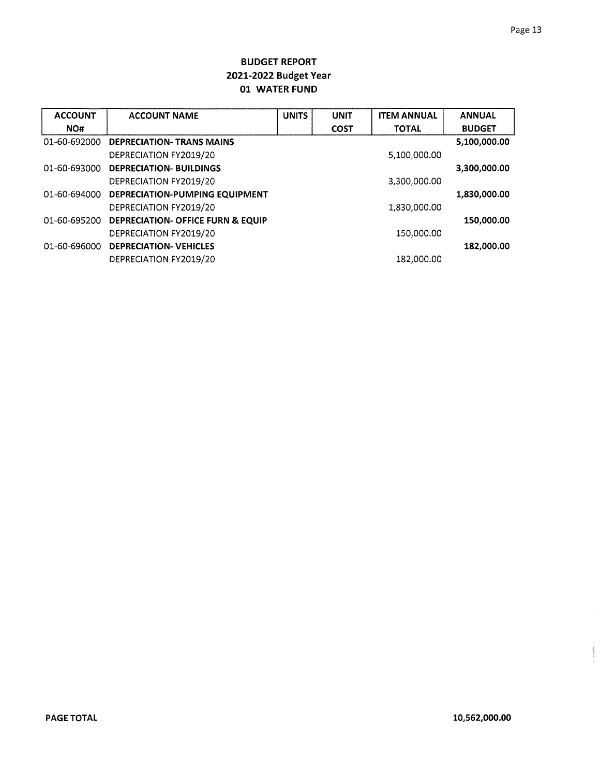| <b>ACCOUNT</b> | <b>ACCOUNT NAME</b>                          | <b>UNITS</b> | <b>UNIT</b> | <b>ITEM ANNUAL</b> | <b>ANNUAL</b> |
|----------------|----------------------------------------------|--------------|-------------|--------------------|---------------|
| NO#            |                                              |              | <b>COST</b> | <b>TOTAL</b>       | <b>BUDGET</b> |
| 01-60-692000   | <b>DEPRECIATION- TRANS MAINS</b>             |              |             |                    | 5,100,000.00  |
|                | DEPRECIATION FY2019/20                       |              |             | 5,100,000.00       |               |
| 01-60-693000   | <b>DEPRECIATION- BUILDINGS</b>               |              |             |                    | 3,300,000.00  |
|                | DEPRECIATION FY2019/20                       |              |             | 3,300,000.00       |               |
| 01-60-694000   | DEPRECIATION-PUMPING EQUIPMENT               |              |             |                    | 1,830,000.00  |
|                | DEPRECIATION FY2019/20                       |              |             | 1,830,000.00       |               |
| 01-60-695200   | <b>DEPRECIATION- OFFICE FURN &amp; EQUIP</b> |              |             |                    | 150,000.00    |
|                | DEPRECIATION FY2019/20                       |              |             | 150,000.00         |               |
| 01-60-696000   | <b>DEPRECIATION- VEHICLES</b>                |              |             |                    | 182,000.00    |
|                | DEPRECIATION FY2019/20                       |              |             | 182,000.00         |               |

on cheemologines.